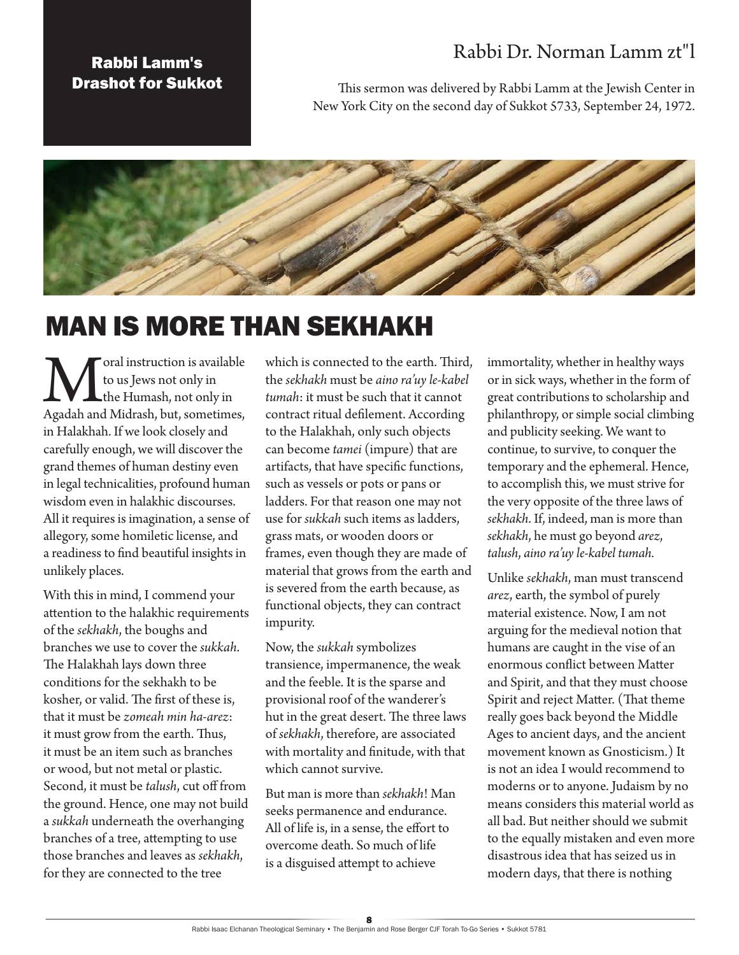## Rabbi Dr. Norman Lamm zt"l

## Rabbi Lamm's Drashot for Sukkot

This sermon was delivered by Rabbi Lamm at the Jewish Center in New York City on the second day of Sukkot 5733, September 24, 1972.



## MAN IS MORE THAN SEKHAKH

**M**oral instruction is available<br>to us Jews not only in<br>Agadah and Midrash, but, sometimes, to us Jews not only in the Humash, not only in Agadah and Midrash, but, sometimes, in Halakhah. If we look closely and carefully enough, we will discover the grand themes of human destiny even in legal technicalities, profound human wisdom even in halakhic discourses. All it requires is imagination, a sense of allegory, some homiletic license, and a readiness to find beautiful insights in unlikely places.

With this in mind, I commend your attention to the halakhic requirements of the *sekhakh*, the boughs and branches we use to cover the *sukkah*. The Halakhah lays down three conditions for the sekhakh to be kosher, or valid. The first of these is, that it must be *zomeah min ha-arez*: it must grow from the earth. Thus, it must be an item such as branches or wood, but not metal or plastic. Second, it must be *talush*, cut off from the ground. Hence, one may not build a *sukkah* underneath the overhanging branches of a tree, attempting to use those branches and leaves as *sekhakh*, for they are connected to the tree

which is connected to the earth. Third, the *sekhakh* must be *aino ra'uy le-kabel tumah*: it must be such that it cannot contract ritual defilement. According to the Halakhah, only such objects can become *tamei* (impure) that are artifacts, that have specific functions, such as vessels or pots or pans or ladders. For that reason one may not use for *sukkah* such items as ladders, grass mats, or wooden doors or frames, even though they are made of material that grows from the earth and is severed from the earth because, as functional objects, they can contract impurity.

Now, the *sukkah* symbolizes transience, impermanence, the weak and the feeble. It is the sparse and provisional roof of the wanderer's hut in the great desert. The three laws of *sekhakh*, therefore, are associated with mortality and finitude, with that which cannot survive.

But man is more than *sekhakh*! Man seeks permanence and endurance. All of life is, in a sense, the effort to overcome death. So much of life is a disguised attempt to achieve

immortality, whether in healthy ways or in sick ways, whether in the form of great contributions to scholarship and philanthropy, or simple social climbing and publicity seeking. We want to continue, to survive, to conquer the temporary and the ephemeral. Hence, to accomplish this, we must strive for the very opposite of the three laws of *sekhakh*. If, indeed, man is more than *sekhakh*, he must go beyond *arez*, *talush*, *aino ra'uy le-kabel tumah.*

Unlike *sekhakh*, man must transcend *arez*, earth, the symbol of purely material existence. Now, I am not arguing for the medieval notion that humans are caught in the vise of an enormous conflict between Matter and Spirit, and that they must choose Spirit and reject Matter. (That theme really goes back beyond the Middle Ages to ancient days, and the ancient movement known as Gnosticism.) It is not an idea I would recommend to moderns or to anyone. Judaism by no means considers this material world as all bad. But neither should we submit to the equally mistaken and even more disastrous idea that has seized us in modern days, that there is nothing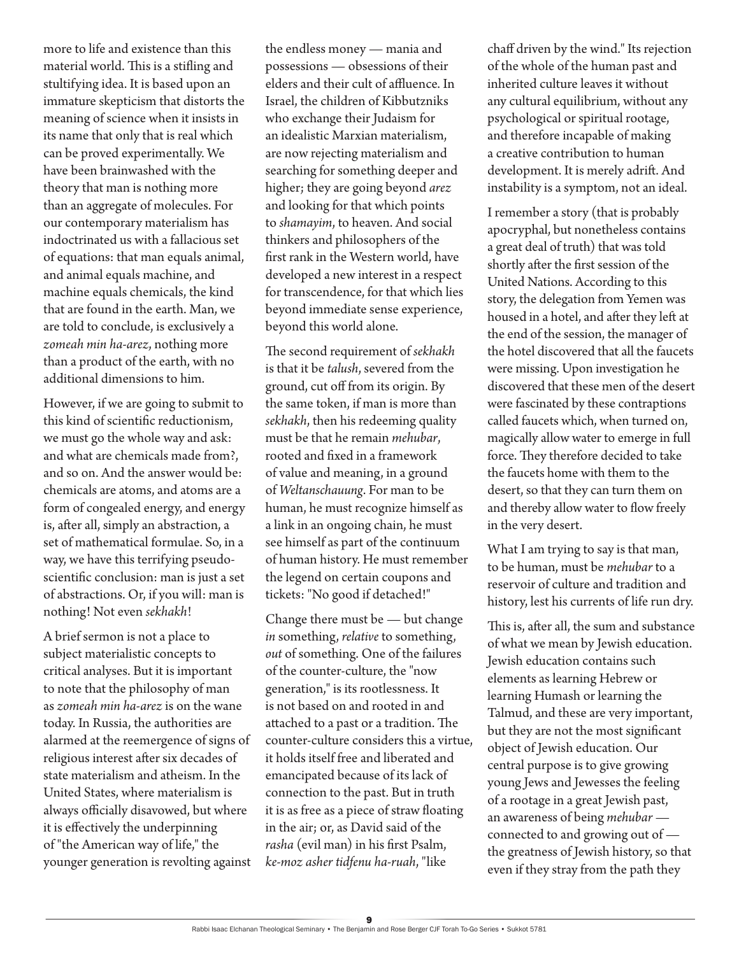more to life and existence than this material world. This is a stifling and stultifying idea. It is based upon an immature skepticism that distorts the meaning of science when it insists in its name that only that is real which can be proved experimentally. We have been brainwashed with the theory that man is nothing more than an aggregate of molecules. For our contemporary materialism has indoctrinated us with a fallacious set of equations: that man equals animal, and animal equals machine, and machine equals chemicals, the kind that are found in the earth. Man, we are told to conclude, is exclusively a *zomeah min ha-arez*, nothing more than a product of the earth, with no additional dimensions to him.

However, if we are going to submit to this kind of scientific reductionism, we must go the whole way and ask: and what are chemicals made from?, and so on. And the answer would be: chemicals are atoms, and atoms are a form of congealed energy, and energy is, after all, simply an abstraction, a set of mathematical formulae. So, in a way, we have this terrifying pseudoscientific conclusion: man is just a set of abstractions. Or, if you will: man is nothing! Not even *sekhakh*!

A brief sermon is not a place to subject materialistic concepts to critical analyses. But it is important to note that the philosophy of man as *zomeah min ha-arez* is on the wane today. In Russia, the authorities are alarmed at the reemergence of signs of religious interest after six decades of state materialism and atheism. In the United States, where materialism is always officially disavowed, but where it is effectively the underpinning of "the American way of life," the younger generation is revolting against the endless money — mania and possessions — obsessions of their elders and their cult of affluence. In Israel, the children of Kibbutzniks who exchange their Judaism for an idealistic Marxian materialism, are now rejecting materialism and searching for something deeper and higher; they are going beyond *arez* and looking for that which points to *shamayim*, to heaven. And social thinkers and philosophers of the first rank in the Western world, have developed a new interest in a respect for transcendence, for that which lies beyond immediate sense experience, beyond this world alone.

The second requirement of *sekhakh* is that it be *talush*, severed from the ground, cut off from its origin. By the same token, if man is more than *sekhakh*, then his redeeming quality must be that he remain *mehubar*, rooted and fixed in a framework of value and meaning, in a ground of *Weltanschauung*. For man to be human, he must recognize himself as a link in an ongoing chain, he must see himself as part of the continuum of human history. He must remember the legend on certain coupons and tickets: "No good if detached!"

Change there must be — but change *in* something, *relative* to something, *out* of something. One of the failures of the counter-culture, the "now generation," is its rootlessness. It is not based on and rooted in and attached to a past or a tradition. The counter-culture considers this a virtue, it holds itself free and liberated and emancipated because of its lack of connection to the past. But in truth it is as free as a piece of straw floating in the air; or, as David said of the *rasha* (evil man) in his first Psalm, *ke-moz asher tidfenu ha-ruah*, "like

chaff driven by the wind." Its rejection of the whole of the human past and inherited culture leaves it without any cultural equilibrium, without any psychological or spiritual rootage, and therefore incapable of making a creative contribution to human development. It is merely adrift. And instability is a symptom, not an ideal.

I remember a story (that is probably apocryphal, but nonetheless contains a great deal of truth) that was told shortly after the first session of the United Nations. According to this story, the delegation from Yemen was housed in a hotel, and after they left at the end of the session, the manager of the hotel discovered that all the faucets were missing. Upon investigation he discovered that these men of the desert were fascinated by these contraptions called faucets which, when turned on, magically allow water to emerge in full force. They therefore decided to take the faucets home with them to the desert, so that they can turn them on and thereby allow water to flow freely in the very desert.

What I am trying to say is that man, to be human, must be *mehubar* to a reservoir of culture and tradition and history, lest his currents of life run dry.

This is, after all, the sum and substance of what we mean by Jewish education. Jewish education contains such elements as learning Hebrew or learning Humash or learning the Talmud, and these are very important, but they are not the most significant object of Jewish education. Our central purpose is to give growing young Jews and Jewesses the feeling of a rootage in a great Jewish past, an awareness of being *mehubar* connected to and growing out of the greatness of Jewish history, so that even if they stray from the path they